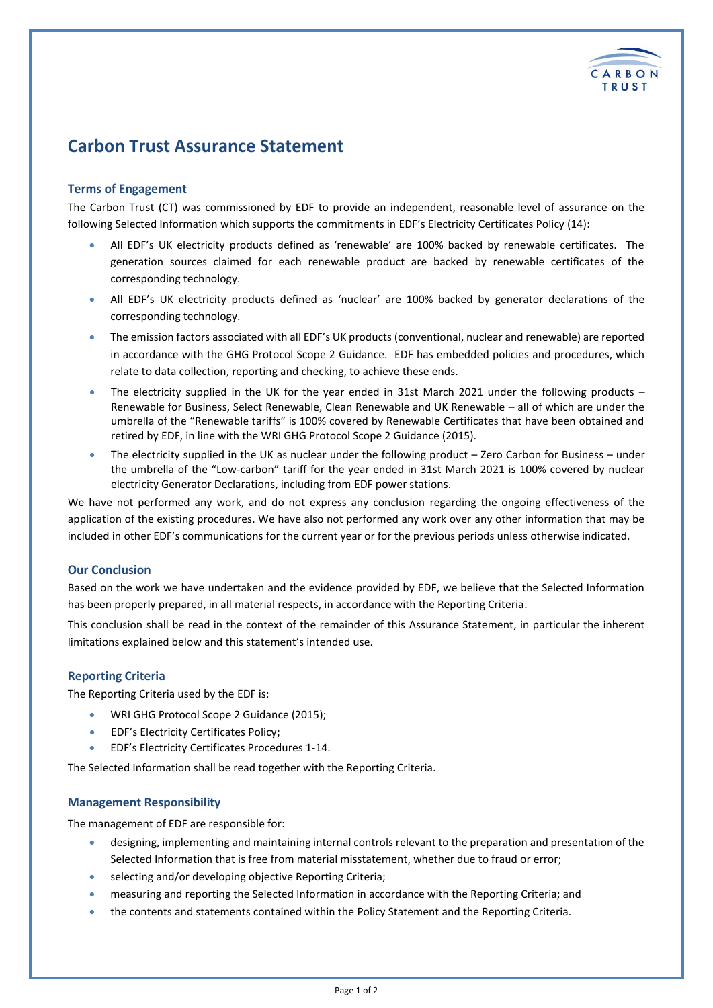

# **Carbon Trust Assurance Statement**

# **Terms of Engagement**

The Carbon Trust (CT) was commissioned by EDF to provide an independent, reasonable level of assurance on the following Selected Information which supports the commitments in EDF's Electricity Certificates Policy (14):

- All EDF's UK electricity products defined as 'renewable' are 100% backed by renewable certificates. The generation sources claimed for each renewable product are backed by renewable certificates of the corresponding technology.
- All EDF's UK electricity products defined as 'nuclear' are 100% backed by generator declarations of the corresponding technology.
- The emission factors associated with all EDF's UK products (conventional, nuclear and renewable) are reported in accordance with the GHG Protocol Scope 2 Guidance. EDF has embedded policies and procedures, which relate to data collection, reporting and checking, to achieve these ends.
- The electricity supplied in the UK for the year ended in 31st March 2021 under the following products Renewable for Business, Select Renewable, Clean Renewable and UK Renewable – all of which are under the umbrella of the "Renewable tariffs" is 100% covered by Renewable Certificates that have been obtained and retired by EDF, in line with the WRI GHG Protocol Scope 2 Guidance (2015).
- The electricity supplied in the UK as nuclear under the following product Zero Carbon for Business under the umbrella of the "Low-carbon" tariff for the year ended in 31st March 2021 is 100% covered by nuclear electricity Generator Declarations, including from EDF power stations.

We have not performed any work, and do not express any conclusion regarding the ongoing effectiveness of the application of the existing procedures. We have also not performed any work over any other information that may be included in other EDF's communications for the current year or for the previous periods unless otherwise indicated.

# **Our Conclusion**

Based on the work we have undertaken and the evidence provided by EDF, we believe that the Selected Information has been properly prepared, in all material respects, in accordance with the Reporting Criteria.

This conclusion shall be read in the context of the remainder of this Assurance Statement, in particular the inherent limitations explained below and this statement's intended use.

# **Reporting Criteria**

The Reporting Criteria used by the EDF is:

- WRI GHG Protocol Scope 2 Guidance (2015);
- EDF's Electricity Certificates Policy;
- EDF's Electricity Certificates Procedures 1-14.

The Selected Information shall be read together with the Reporting Criteria.

# **Management Responsibility**

The management of EDF are responsible for:

- designing, implementing and maintaining internal controls relevant to the preparation and presentation of the Selected Information that is free from material misstatement, whether due to fraud or error;
- selecting and/or developing objective Reporting Criteria;
- measuring and reporting the Selected Information in accordance with the Reporting Criteria; and
- the contents and statements contained within the Policy Statement and the Reporting Criteria.